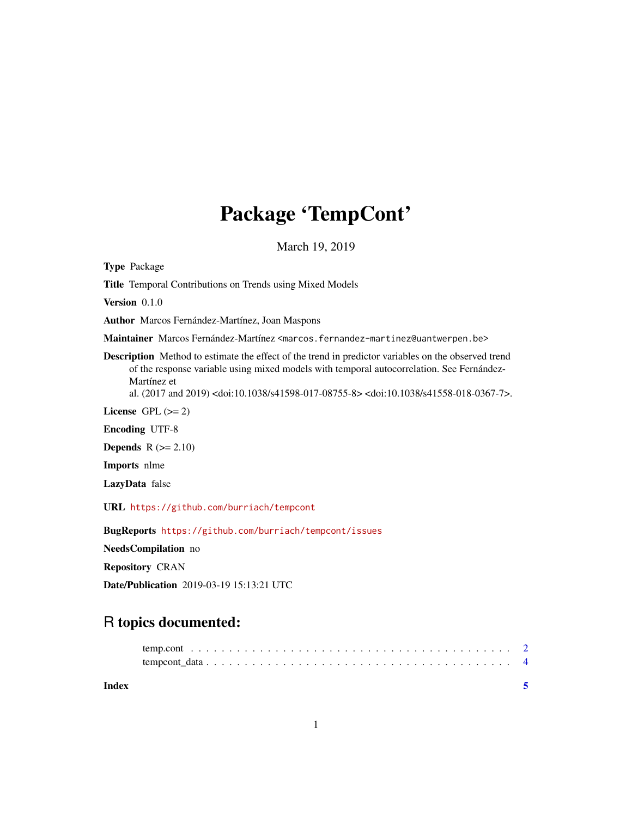## Package 'TempCont'

March 19, 2019

Type Package

Title Temporal Contributions on Trends using Mixed Models

Version 0.1.0

Author Marcos Fernández-Martínez, Joan Maspons

Maintainer Marcos Fernández-Martínez <marcos.fernandez-martinez@uantwerpen.be>

Description Method to estimate the effect of the trend in predictor variables on the observed trend of the response variable using mixed models with temporal autocorrelation. See Fernández-Martínez et

al. (2017 and 2019) <doi:10.1038/s41598-017-08755-8> <doi:10.1038/s41558-018-0367-7>.

License GPL  $(>= 2)$ 

Encoding UTF-8

**Depends**  $R$  ( $>= 2.10$ )

Imports nlme

LazyData false

URL <https://github.com/burriach/tempcont>

BugReports <https://github.com/burriach/tempcont/issues>

NeedsCompilation no

Repository CRAN

Date/Publication 2019-03-19 15:13:21 UTC

### R topics documented:

| Index |  |
|-------|--|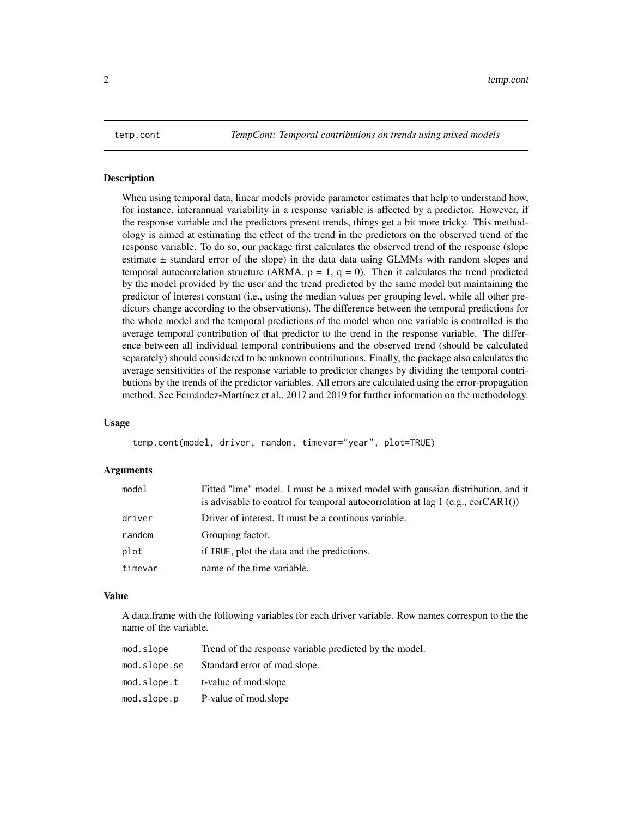<span id="page-1-0"></span>temp.cont *TempCont: Temporal contributions on trends using mixed models*

#### Description

When using temporal data, linear models provide parameter estimates that help to understand how, for instance, interannual variability in a response variable is affected by a predictor. However, if the response variable and the predictors present trends, things get a bit more tricky. This methodology is aimed at estimating the effect of the trend in the predictors on the observed trend of the response variable. To do so, our package first calculates the observed trend of the response (slope estimate  $\pm$  standard error of the slope) in the data data using GLMMs with random slopes and temporal autocorrelation structure (ARMA,  $p = 1$ ,  $q = 0$ ). Then it calculates the trend predicted by the model provided by the user and the trend predicted by the same model but maintaining the predictor of interest constant (i.e., using the median values per grouping level, while all other predictors change according to the observations). The difference between the temporal predictions for the whole model and the temporal predictions of the model when one variable is controlled is the average temporal contribution of that predictor to the trend in the response variable. The difference between all individual temporal contributions and the observed trend (should be calculated separately) should considered to be unknown contributions. Finally, the package also calculates the average sensitivities of the response variable to predictor changes by dividing the temporal contributions by the trends of the predictor variables. All errors are calculated using the error-propagation method. See Fernández-Martínez et al., 2017 and 2019 for further information on the methodology.

#### Usage

temp.cont(model, driver, random, timevar="year", plot=TRUE)

#### Arguments

| model   | Fitted "Ime" model. I must be a mixed model with gaussian distribution, and it<br>is advisable to control for temporal autocorrelation at lag $1$ (e.g., corCAR1()) |
|---------|---------------------------------------------------------------------------------------------------------------------------------------------------------------------|
| driver  | Driver of interest. It must be a continous variable.                                                                                                                |
| random  | Grouping factor.                                                                                                                                                    |
| plot    | if TRUE, plot the data and the predictions.                                                                                                                         |
| timevar | name of the time variable.                                                                                                                                          |

#### Value

A data.frame with the following variables for each driver variable. Row names correspon to the the name of the variable.

| mod.slope    | Trend of the response variable predicted by the model. |
|--------------|--------------------------------------------------------|
| mod.slope.se | Standard error of mod.slope.                           |
| mod.slope.t  | t-value of mod.slope                                   |
| mod.slope.p  | P-value of mod.slope                                   |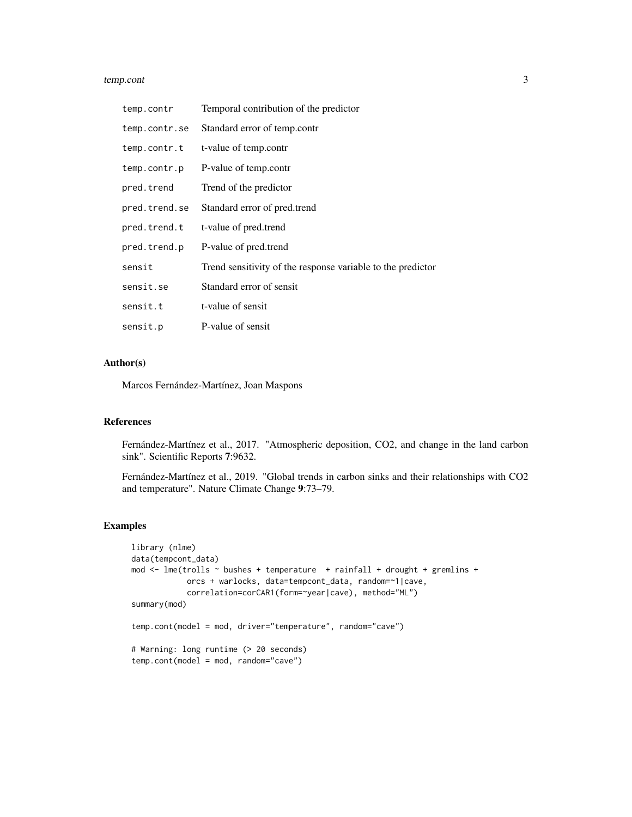#### temp.cont 3

| temp.contr    | Temporal contribution of the predictor                      |
|---------------|-------------------------------------------------------------|
| temp.contr.se | Standard error of temp.contr                                |
| temp.contr.t  | t-value of temp.contr                                       |
| temp.contr.p  | P-value of temp.contr                                       |
| pred.trend    | Trend of the predictor                                      |
| pred.trend.se | Standard error of pred.trend                                |
| pred.trend.t  | t-value of pred.trend                                       |
| pred.trend.p  | P-value of pred.trend                                       |
| sensit        | Trend sensitivity of the response variable to the predictor |
| sensit.se     | Standard error of sensit                                    |
| sensit.t      | t-value of sensit                                           |
| sensit.p      | P-value of sensit                                           |

#### Author(s)

Marcos Fernández-Martínez, Joan Maspons

#### References

Fernández-Martínez et al., 2017. "Atmospheric deposition, CO2, and change in the land carbon sink". Scientific Reports 7:9632.

Fernández-Martínez et al., 2019. "Global trends in carbon sinks and their relationships with CO2 and temperature". Nature Climate Change 9:73–79.

#### Examples

```
library (nlme)
data(tempcont_data)
mod <- lme(trolls ~ bushes + temperature + rainfall + drought + gremlins +
           orcs + warlocks, data=tempcont_data, random=~1|cave,
            correlation=corCAR1(form=~year|cave), method="ML")
summary(mod)
temp.cont(model = mod, driver="temperature", random="cave")
# Warning: long runtime (> 20 seconds)
temp.cont(model = mod, random="cave")
```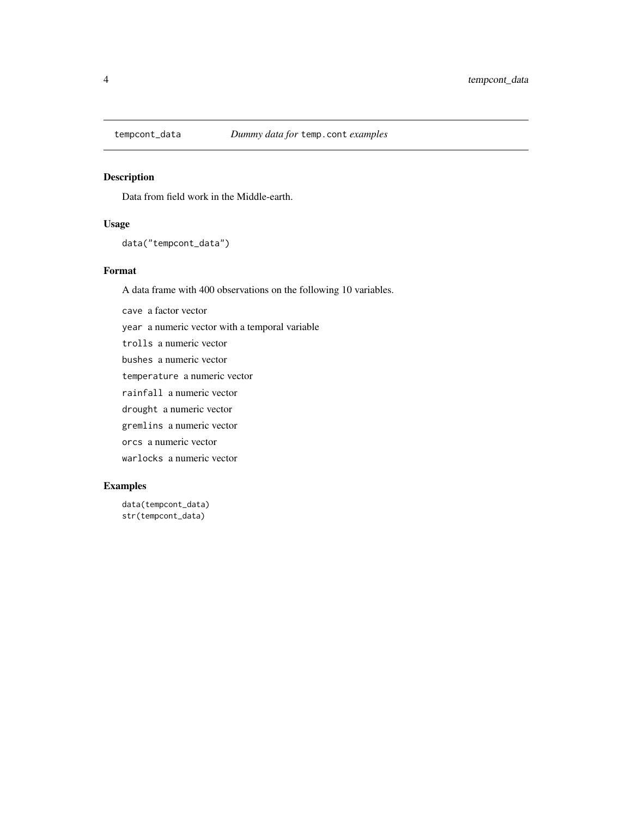<span id="page-3-0"></span>

#### Description

Data from field work in the Middle-earth.

#### Usage

```
data("tempcont_data")
```
#### Format

A data frame with 400 observations on the following 10 variables.

cave a factor vector year a numeric vector with a temporal variable trolls a numeric vector bushes a numeric vector temperature a numeric vector rainfall a numeric vector drought a numeric vector gremlins a numeric vector orcs a numeric vector warlocks a numeric vector

#### Examples

```
data(tempcont_data)
str(tempcont_data)
```